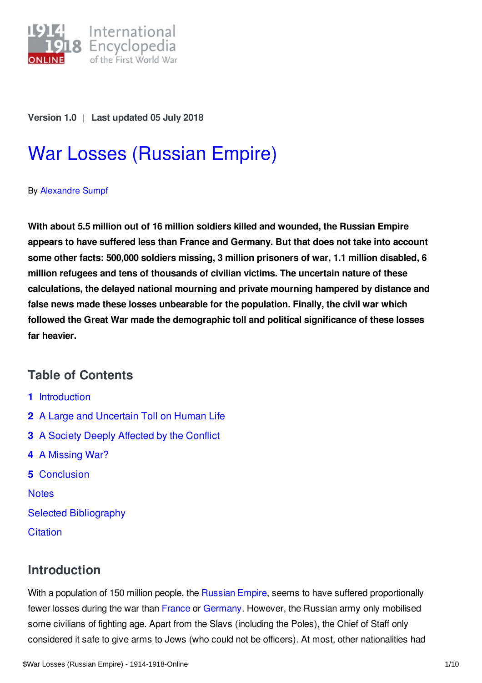

**Version 1.0** | **Last updated 05 July 2018**

# War Losses [\(Russian](https://encyclopedia.1914-1918-online.net/article/war_losses_russian_empire) Empire)

By [Alexandre](https://encyclopedia.1914-1918-online.net/contributors/Alexandre_Sumpf) Sumpf

**With about 5.5 million out of 16 million soldiers killed and wounded, the Russian Empire appears to have suffered less than France and Germany. But that does not take into account some other facts: 500,000 soldiers missing, 3 million prisoners of war, 1.1 million disabled, 6 million refugees and tens of thousands of civilian victims. The uncertain nature of these calculations, the delayed national mourning and private mourning hampered by distance and false news made these losses unbearable for the population. Finally, the civil war which followed the Great War made the demographic toll and political significance of these losses far heavier.**

# **Table of Contents**

- **1** [Introduction](#page-0-0)
- **2** A Large and [Uncertain](#page-1-0) Toll on Human Life
- **3** A Society Deeply [Affected](#page-3-0) by the Conflict
- **4** A [Missing](#page-5-0) War?
- **5** [Conclusion](#page-6-0)

**[Notes](#page-6-1)** 

- Selected [Bibliography](#page-8-0)
- **[Citation](#page-8-1)**

# <span id="page-0-0"></span>**Introduction**

With a population of 150 million people, the [Russian](/article/russian_empire) Empire, seems to have suffered proportionally fewer losses during the war than [France](/article/war_losses_france) or [Germany](/article/war_losses_germany). However, the Russian army only mobilised some civilians of fighting age. Apart from the Slavs (including the Poles), the Chief of Staff only considered it safe to give arms to Jews (who could not be officers). At most, other nationalities had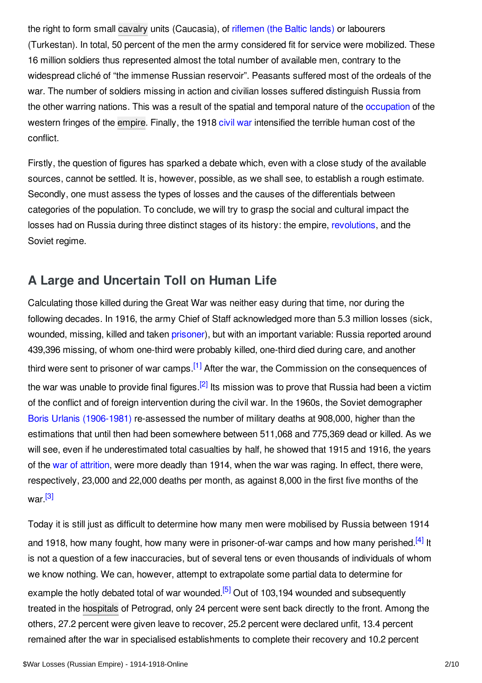the right to form small [cavalry](/article/cavalry) units (Caucasia), of [riflemen](/article/latvian_riflemen) (the Baltic lands) or labourers (Turkestan). In total, 50 percent of the men the army considered fit for service were mobilized. These 16 million soldiers thus represented almost the total number of available men, contrary to the widespread cliché of "the immense Russian reservoir". Peasants suffered most of the ordeals of the war. The number of soldiers missing in action and civilian losses suffered distinguish Russia from the other warring nations. This was a result of the spatial and temporal nature of the [occupation](/article/occupation_during_and_after_the_war_russian_empire) of the western fringes of the [empire](/article/empire). Finally, the 1918 [civil](/article/russian_civil_war) war intensified the terrible human cost of the conflict.

Firstly, the question of figures has sparked a debate which, even with a close study of the available sources, cannot be settled. It is, however, possible, as we shall see, to establish a rough estimate. Secondly, one must assess the types of losses and the causes of the differentials between categories of the population. To conclude, we will try to grasp the social and cultural impact the losses had on Russia during three distinct stages of its history: the empire, [revolutions](/article/revolutions_russian_empire), and the Soviet regime.

## <span id="page-1-0"></span>**A Large and Uncertain Toll on Human Life**

<span id="page-1-2"></span><span id="page-1-1"></span>Calculating those killed during the Great War was neither easy during that time, nor during the following decades. In 1916, the army Chief of Staff acknowledged more than 5.3 million losses (sick, wounded, missing, killed and taken [prisoner](/article/prisoners_of_war_russian_empire)), but with an important variable: Russia reported around 439,396 missing, of whom one-third were probably killed, one-third died during care, and another third were sent to prisoner of war camps.<sup>[\[1\]](#page-7-0)</sup> After the war, the Commission on the consequences of the war was unable to provide final figures.<sup>[\[2\]](#page-7-1)</sup> Its mission was to prove that Russia had been a victim of the conflict and of foreign intervention during the civil war. In the 1960s, the Soviet demographer Boris Urlanis [\(1906-1981\)](/index/names/107620472) re-assessed the number of military deaths at 908,000, higher than the estimations that until then had been somewhere between 511,068 and 775,369 dead or killed. As we will see, even if he underestimated total casualties by half, he showed that 1915 and 1916, the years of the war of [attrition](/article/attrition_warfare), were more deadly than 1914, when the war was raging. In effect, there were, respectively, 23,000 and 22,000 deaths per month, as against 8,000 in the first five months of the war.<sup>[\[3\]](#page-7-2)</sup>

<span id="page-1-5"></span><span id="page-1-4"></span><span id="page-1-3"></span>Today it is still just as difficult to determine how many men were mobilised by Russia between 1914 and 1918, how many fought, how many were in prisoner-of-war camps and how many perished.<sup>[\[4\]](#page-7-3)</sup> It is not a question of a few inaccuracies, but of several tens or even thousands of individuals of whom we know nothing. We can, however, attempt to extrapolate some partial data to determine for example the hotly debated total of war wounded.<sup>[\[5\]](#page-7-4)</sup> Out of 103,194 wounded and subsequently treated in the [hospitals](/article/hospitals) of Petrograd, only 24 percent were sent back directly to the front. Among the others, 27.2 percent were given leave to recover, 25.2 percent were declared unfit, 13.4 percent remained after the war in specialised establishments to complete their recovery and 10.2 percent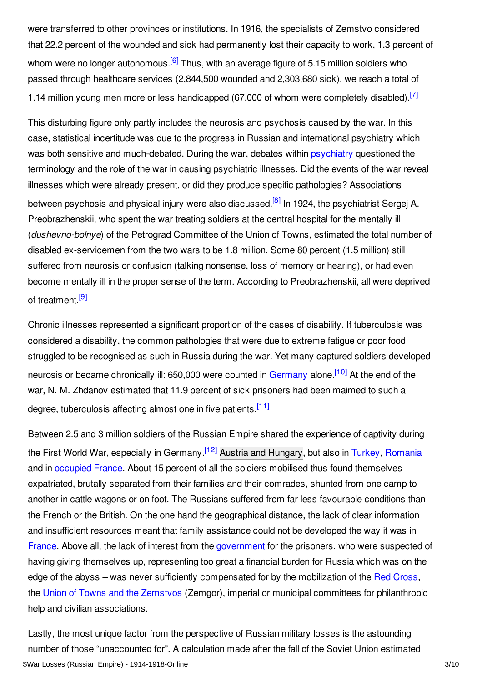<span id="page-2-0"></span>were transferred to other provinces or institutions. In 1916, the specialists of Zemstvo considered that 22.2 percent of the wounded and sick had permanently lost their capacity to work, 1.3 percent of whom were no longer autonomous.<sup>[\[6\]](#page-7-5)</sup> Thus, with an average figure of 5.15 million soldiers who passed through healthcare services (2,844,500 wounded and 2,303,680 sick), we reach a total of 1.14 million young men more or less handicapped (67,000 of whom were completely disabled).<sup>[\[7\]](#page-7-6)</sup>

<span id="page-2-2"></span><span id="page-2-1"></span>This disturbing figure only partly includes the neurosis and psychosis caused by the war. In this case, statistical incertitude was due to the progress in Russian and international psychiatry which was both sensitive and much-debated. During the war, debates within [psychiatry](/article/war_psychiatry) questioned the terminology and the role of the war in causing psychiatric illnesses. Did the events of the war reveal illnesses which were already present, or did they produce specific pathologies? Associations between psychosis and physical injury were also discussed.<sup>[\[8\]](#page-7-7)</sup> In 1924, the psychiatrist Sergej A. Preobrazhenskii, who spent the war treating soldiers at the central hospital for the mentally ill (*dushevno-bolnye*) of the Petrograd Committee of the Union of Towns, estimated the total number of disabled ex-servicemen from the two wars to be 1.8 million. Some 80 percent (1.5 million) still suffered from neurosis or confusion (talking nonsense, loss of memory or hearing), or had even become mentally ill in the proper sense of the term. According to Preobrazhenskii, all were deprived of treatment.<sup>[\[9\]](#page-7-8)</sup>

<span id="page-2-4"></span><span id="page-2-3"></span>Chronic illnesses represented a significant proportion of the cases of disability. If tuberculosis was considered a disability, the common pathologies that were due to extreme fatigue or poor food struggled to be recognised as such in Russia during the war. Yet many captured soldiers developed neurosis or became chronically ill: 650,000 were counted in [Germany](/article/germany) alone.<sup>[\[10\]](#page-7-9)</sup> At the end of the war, N. M. Zhdanov estimated that 11.9 percent of sick prisoners had been maimed to such a degree, tuberculosis affecting almost one in five patients.<sup>[\[11\]](#page-7-10)</sup>

<span id="page-2-6"></span><span id="page-2-5"></span>Between 2.5 and 3 million soldiers of the Russian Empire shared the experience of captivity during the First World War, especially in Germany.<sup>[\[12\]](#page-7-11)</sup> Austria and [Hungary](/article/austria-hungary), but also in [Turkey](/article/ottoman_empiremiddle_east), [Romania](/article/romania) and in [occupied](/article/occupation_during_the_war_belgium_and_france) France. About 15 percent of all the soldiers mobilised thus found themselves expatriated, brutally separated from their families and their comrades, shunted from one camp to another in cattle wagons or on foot. The Russians suffered from far less favourable conditions than the French or the British. On the one hand the geographical distance, the lack of clear information and insufficient resources meant that family assistance could not be developed the way it was in [France](/article/france). Above all, the lack of interest from the [government](/article/governments_parliaments_and_parties_russian_empire) for the prisoners, who were suspected of having giving themselves up, representing too great a financial burden for Russia which was on the edge of the abyss – was never sufficiently compensated for by the mobilization of the Red [Cross](/article/red_cross), the Union of Towns and the [Zemstvos](/article/union_of_zemstvos_and_towns) (Zemgor), imperial or municipal committees for philanthropic help and civilian associations.

Lastly, the most unique factor from the perspective of Russian military losses is the astounding number of those "unaccounted for". A calculation made after the fall of the Soviet Union estimated \$War Losses (Russian Empire) - 1914-1918-Online 3/10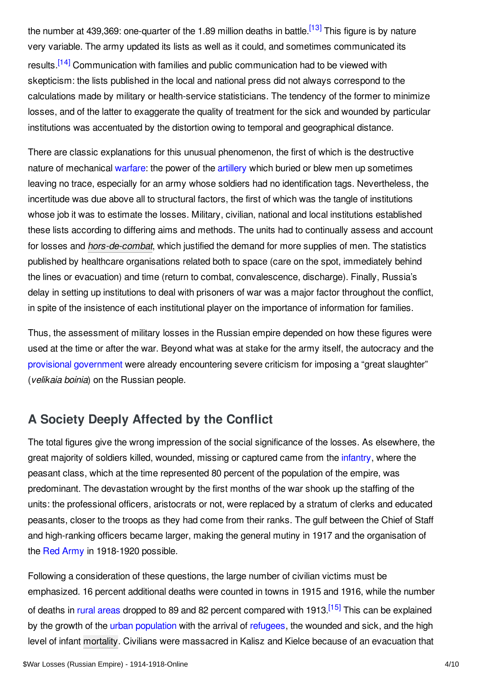<span id="page-3-2"></span><span id="page-3-1"></span>the number at 439,369: one-quarter of the 1.89 million deaths in battle.<sup>[\[13\]](#page-7-12)</sup> This figure is by nature very variable. The army updated its lists as well as it could, and sometimes communicated its results.<sup>[\[14\]](#page-7-13)</sup> Communication with families and public communication had to be viewed with skepticism: the lists published in the local and national press did not always correspond to the calculations made by military or health-service statisticians. The tendency of the former to minimize losses, and of the latter to exaggerate the quality of treatment for the sick and wounded by particular institutions was accentuated by the distortion owing to temporal and geographical distance.

There are classic explanations for this unusual phenomenon, the first of which is the destructive nature of mechanical [warfare](/article/warfare_1914-1918_russian_empire): the power of the [artillery](/article/artillery) which buried or blew men up sometimes leaving no trace, especially for an army whose soldiers had no identification tags. Nevertheless, the incertitude was due above all to structural factors, the first of which was the tangle of institutions whose job it was to estimate the losses. Military, civilian, national and local institutions established these lists according to differing aims and methods. The units had to continually assess and account for losses and *[hors-de-combat](/article/hors_de_combatbeyond_war)*, which justified the demand for more supplies of men. The statistics published by healthcare organisations related both to space (care on the spot, immediately behind the lines or evacuation) and time (return to combat, convalescence, discharge). Finally, Russia's delay in setting up institutions to deal with prisoners of war was a major factor throughout the conflict, in spite of the insistence of each institutional player on the importance of information for families.

Thus, the assessment of military losses in the Russian empire depended on how these figures were used at the time or after the war. Beyond what was at stake for the army itself, the autocracy and the provisional [government](/article/provisional_government) were already encountering severe criticism for imposing a "great slaughter" (*velikaia boinia*) on the Russian people.

# <span id="page-3-0"></span>**A Society Deeply Affected by the Conflict**

The total figures give the wrong impression of the social significance of the losses. As elsewhere, the great majority of soldiers killed, wounded, missing or captured came from the [infantry](/article/infantry), where the peasant class, which at the time represented 80 percent of the population of the empire, was predominant. The devastation wrought by the first months of the war shook up the staffing of the units: the professional officers, aristocrats or not, were replaced by a stratum of clerks and educated peasants, closer to the troops as they had come from their ranks. The gulf between the Chief of Staff and high-ranking officers became larger, making the general mutiny in 1917 and the organisation of the Red [Army](/article/red_army) in 1918-1920 possible.

<span id="page-3-3"></span>Following a consideration of these questions, the large number of civilian victims must be emphasized. 16 percent additional deaths were counted in towns in 1915 and 1916, while the number of deaths in rural [areas](/article/rural_society) dropped to 89 and 82 percent compared with 1913.<sup>[\[15\]](#page-7-14)</sup> This can be explained by the growth of the urban [population](/article/urban_societies_and_cities) with the arrival of [refugees](/article/refugees_russian_empire), the wounded and sick, and the high level of infant [mortality](/article/health_disease_mortality_demographic_effects). Civilians were massacred in Kalisz and Kielce because of an evacuation that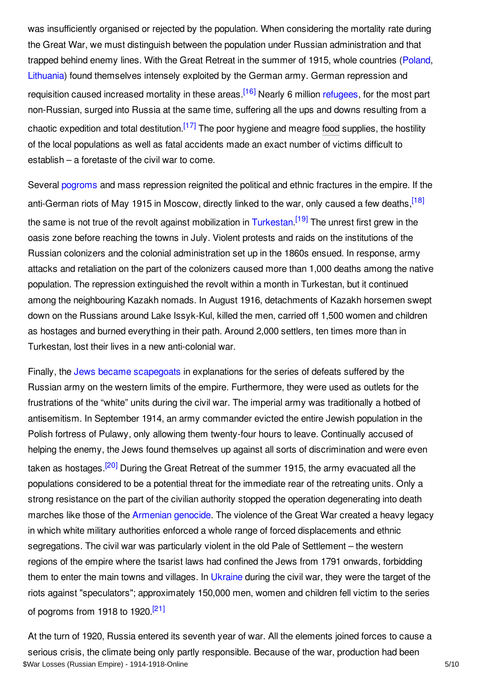<span id="page-4-0"></span>was insufficiently organised or rejected by the population. When considering the mortality rate during the Great War, we must distinguish between the population under Russian administration and that trapped behind enemy lines. With the Great Retreat in the summer of 1915, whole countries ([Poland](/article/poland), [Lithuania](/article/baltic_states_and_finland)) found themselves intensely exploited by the German army. German repression and requisition caused increased mortality in these areas.<sup>[\[16\]](#page-7-15)</sup> Nearly 6 million [refugees](/article/refugees), for the most part non-Russian, surged into Russia at the same time, suffering all the ups and downs resulting from a chaotic expedition and total destitution.<sup>[\[17\]](#page-8-2)</sup> The poor hygiene and meagre [food](/article/food_and_nutrition_russian_empire) supplies, the hostility of the local populations as well as fatal accidents made an exact number of victims difficult to establish – a foretaste of the civil war to come.

<span id="page-4-3"></span><span id="page-4-2"></span><span id="page-4-1"></span>Several [pogroms](/article/antisemitism_and_pogromsin_the_military_russian_empire) and mass repression reignited the political and ethnic fractures in the empire. If the anti-German riots of May 1915 in Moscow, directly linked to the war, only caused a few deaths, <sup>[\[18\]](#page-8-3)</sup> the same is not true of the revolt against mobilization in [Turkestan](/article/turkestan).<sup>[\[19\]](#page-8-4)</sup> The unrest first grew in the oasis zone before reaching the towns in July. Violent protests and raids on the institutions of the Russian colonizers and the colonial administration set up in the 1860s ensued. In response, army attacks and retaliation on the part of the colonizers caused more than 1,000 deaths among the native population. The repression extinguished the revolt within a month in Turkestan, but it continued among the neighbouring Kazakh nomads. In August 1916, detachments of Kazakh horsemen swept down on the Russians around Lake Issyk-Kul, killed the men, carried off 1,500 women and children as hostages and burned everything in their path. Around 2,000 settlers, ten times more than in Turkestan, lost their lives in a new anti-colonial war.

<span id="page-4-4"></span>Finally, the Jews became [scapegoats](/article/antisemitism) in explanations for the series of defeats suffered by the Russian army on the western limits of the empire. Furthermore, they were used as outlets for the frustrations of the "white" units during the civil war. The imperial army was traditionally a hotbed of antisemitism. In September 1914, an army commander evicted the entire Jewish population in the Polish fortress of Pulawy, only allowing them twenty-four hours to leave. Continually accused of helping the enemy, the Jews found themselves up against all sorts of discrimination and were even taken as hostages.<sup>[\[20\]](#page-8-5)</sup> During the Great Retreat of the summer 1915, the army evacuated all the populations considered to be a potential threat for the immediate rear of the retreating units. Only a strong resistance on the part of the civilian authority stopped the operation degenerating into death marches like those of the [Armenian](/article/armenian_genocide) genocide. The violence of the Great War created a heavy legacy in which white military authorities enforced a whole range of forced displacements and ethnic segregations. The civil war was particularly violent in the old Pale of Settlement – the western regions of the empire where the tsarist laws had confined the Jews from 1791 onwards, forbidding them to enter the main towns and villages. In [Ukraine](/article/ukraine) during the civil war, they were the target of the riots against "speculators"; approximately 150,000 men, women and children fell victim to the series of pogroms from 1918 to 1920.<sup>[\[21\]](#page-8-6)</sup>

<span id="page-4-5"></span>At the turn of 1920, Russia entered its seventh year of war. All the elements joined forces to cause a serious crisis, the climate being only partly responsible. Because of the war, production had been \$War Losses (Russian Empire) - 1914-1918-Online 5/10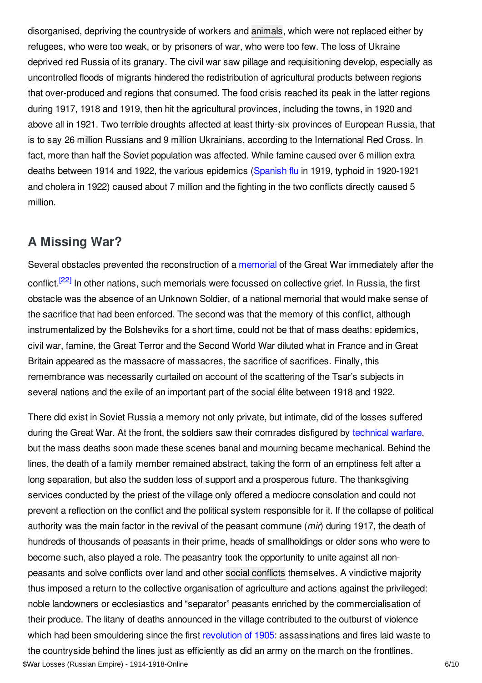disorganised, depriving the countryside of workers and [animals](/article/animals), which were not replaced either by refugees, who were too weak, or by prisoners of war, who were too few. The loss of Ukraine deprived red Russia of its granary. The civil war saw pillage and requisitioning develop, especially as uncontrolled floods of migrants hindered the redistribution of agricultural products between regions that over-produced and regions that consumed. The food crisis reached its peak in the latter regions during 1917, 1918 and 1919, then hit the agricultural provinces, including the towns, in 1920 and above all in 1921. Two terrible droughts affected at least thirty-six provinces of European Russia, that is to say 26 million Russians and 9 million Ukrainians, according to the International Red Cross. In fact, more than half the Soviet population was affected. While famine caused over 6 million extra deaths between 1914 and 1922, the various epidemics [\(Spanish](/article/influenza_pandemic) flu in 1919, typhoid in 1920-1921 and cholera in 1922) caused about 7 million and the fighting in the two conflicts directly caused 5 million.

## <span id="page-5-0"></span>**A Missing War?**

<span id="page-5-1"></span>Several obstacles prevented the reconstruction of a [memorial](/article/commemoration_cult_of_the_fallen_russian_empire) of the Great War immediately after the conflict.<sup>[\[22\]](#page-8-7)</sup> In other nations, such memorials were focussed on collective grief. In Russia, the first obstacle was the absence of an Unknown Soldier, of a national memorial that would make sense of the sacrifice that had been enforced. The second was that the memory of this conflict, although instrumentalized by the Bolsheviks for a short time, could not be that of mass deaths: epidemics, civil war, famine, the Great Terror and the Second World War diluted what in France and in Great Britain appeared as the massacre of massacres, the sacrifice of sacrifices. Finally, this remembrance was necessarily curtailed on account of the scattering of the Tsar's subjects in several nations and the exile of an important part of the social élite between 1918 and 1922.

There did exist in Soviet Russia a memory not only private, but intimate, did of the losses suffered during the Great War. At the front, the soldiers saw their comrades disfigured by [technical](/article/on_the_road_to_modern_war) warfare, but the mass deaths soon made these scenes banal and mourning became mechanical. Behind the lines, the death of a family member remained abstract, taking the form of an emptiness felt after a long separation, but also the sudden loss of support and a prosperous future. The thanksgiving services conducted by the priest of the village only offered a mediocre consolation and could not prevent a reflection on the conflict and the political system responsible for it. If the collapse of political authority was the main factor in the revival of the peasant commune (*mir*) during 1917, the death of hundreds of thousands of peasants in their prime, heads of smallholdings or older sons who were to become such, also played a role. The peasantry took the opportunity to unite against all nonpeasants and solve conflicts over land and other social [conflicts](/article/social_conflict) themselves. A vindictive majority thus imposed a return to the collective organisation of agriculture and actions against the privileged: noble landowners or ecclesiastics and "separator" peasants enriched by the commercialisation of their produce. The litany of deaths announced in the village contributed to the outburst of violence which had been smouldering since the first [revolution](/article/revolution_of_1905_russian_empire) of 1905; assassinations and fires laid waste to the countryside behind the lines just as efficiently as did an army on the march on the frontlines. \$War Losses (Russian Empire) - 1914-1918-Online 6/10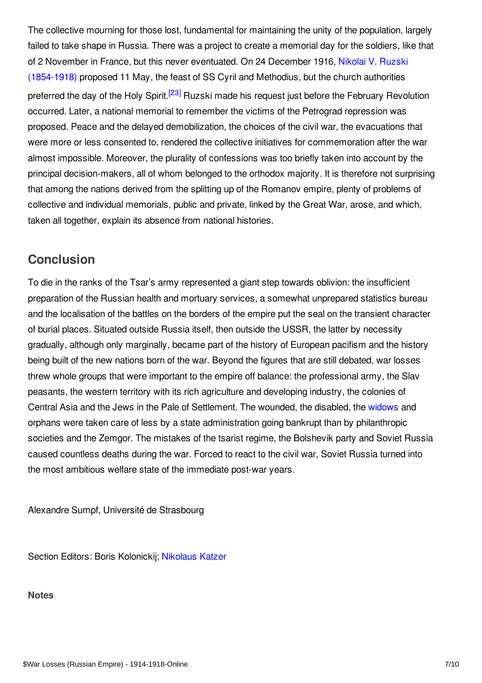<span id="page-6-2"></span>The collective mourning for those lost, fundamental for maintaining the unity of the population, largely failed to take shape in Russia. There was a project to create a memorial day for the soldiers, like that of 2 November in France, but this never eventuated. On 24 December 1916, Nikolai V. Ruzski [\(1854-1918\)](/index/names/1058668013) proposed 11 May, the feast of SS Cyril and Methodius, but the church authorities preferred the day of the Holy Spirit.<sup>[\[23\]](#page-8-8)</sup> Ruzski made his request just before the February Revolution occurred. Later, a national memorial to remember the victims of the Petrograd repression was proposed. Peace and the delayed demobilization, the choices of the civil war, the evacuations that were more or less consented to, rendered the collective initiatives for commemoration after the war almost impossible. Moreover, the plurality of confessions was too briefly taken into account by the principal decision-makers, all of whom belonged to the orthodox majority. It is therefore not surprising that among the nations derived from the splitting up of the Romanov empire, plenty of problems of collective and individual memorials, public and private, linked by the Great War, arose, and which, taken all together, explain its absence from national histories.

## <span id="page-6-0"></span>**Conclusion**

To die in the ranks of the Tsar's army represented a giant step towards oblivion: the insufficient preparation of the Russian health and mortuary services, a somewhat unprepared statistics bureau and the localisation of the battles on the borders of the empire put the seal on the transient character of burial places. Situated outside Russia itself, then outside the USSR, the latter by necessity gradually, although only marginally, became part of the history of European pacifism and the history being built of the new nations born of the war. Beyond the figures that are still debated, war losses threw whole groups that were important to the empire off balance: the professional army, the Slav peasants, the western territory with its rich agriculture and developing industry, the colonies of Central Asia and the Jews in the Pale of Settlement. The wounded, the disabled, the [widows](/article/war_widows) and orphans were taken care of less by a state administration going bankrupt than by philanthropic societies and the Zemgor. The mistakes of the tsarist regime, the Bolshevik party and Soviet Russia caused countless deaths during the war. Forced to react to the civil war, Soviet Russia turned into the most ambitious welfare state of the immediate post-war years.

Alexandre Sumpf, Université de Strasbourg

Section Editors: Boris Kolonickij; [Nikolaus](https://encyclopedia.1914-1918-online.net/contributors/Nikolaus_Katzer) Katzer

#### <span id="page-6-1"></span>**Notes**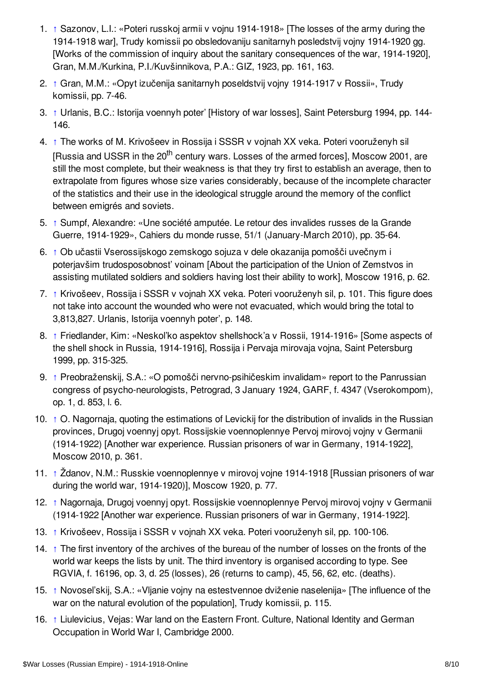- <span id="page-7-0"></span>1. [↑](#page-1-1) Sazonov, L.I.: «Poteri russkoj armii v vojnu 1914-1918» [The losses of the army during the 1914-1918 war], Trudy komissii po obsledovaniju sanitarnyh posledstvij vojny 1914-1920 gg. [Works of the commission of inquiry about the sanitary consequences of the war, 1914-1920], Gran, M.M./Kurkina, P.I./Kuvšinnikova, P.A.: GIZ, 1923, pp. 161, 163.
- <span id="page-7-1"></span>2. [↑](#page-1-2) Gran, M.M.: «Opyt izučenija sanitarnyh poseldstvij vojny 1914-1917 v Rossii», Trudy komissii, pp. 7-46.
- <span id="page-7-2"></span>3. [↑](#page-1-3) Urlanis, B.C.: Istorija voennyh poter' [History of war losses], Saint Petersburg 1994, pp. 144- 146.
- <span id="page-7-3"></span>4. [↑](#page-1-4) The works of M. Krivošeev in Rossija i SSSR v vojnah XX veka. Poteri vooruženyh sil [Russia and USSR in the 20<sup>th</sup> century wars. Losses of the armed forces], Moscow 2001, are still the most complete, but their weakness is that they try first to establish an average, then to extrapolate from figures whose size varies considerably, because of the incomplete character of the statistics and their use in the ideological struggle around the memory of the conflict between emigrés and soviets.
- <span id="page-7-4"></span>5. [↑](#page-1-5) Sumpf, Alexandre: «Une société amputée. Le retour des invalides russes de la Grande Guerre, 1914-1929», Cahiers du monde russe, 51/1 (January-March 2010), pp. 35-64.
- <span id="page-7-5"></span>6. [↑](#page-2-0) Ob učastii Vserossijskogo zemskogo sojuza v dele okazanija pomošči uvečnym i poterjavšim trudosposobnost' voinam [About the participation of the Union of Zemstvos in assisting mutilated soldiers and soldiers having lost their ability to work], Moscow 1916, p. 62.
- <span id="page-7-6"></span>7. [↑](#page-2-1) Krivošeev, Rossija i SSSR v vojnah XX veka. Poteri vooruženyh sil, p. 101. This figure does not take into account the wounded who were not evacuated, which would bring the total to 3,813,827. Urlanis, Istorija voennyh poter', p. 148.
- <span id="page-7-7"></span>8. [↑](#page-2-2) Friedlander, Kim: «Neskol'ko aspektov shellshock'a v Rossii, 1914-1916» [Some aspects of the shell shock in Russia, 1914-1916], Rossija i Pervaja mirovaja vojna, Saint Petersburg 1999, pp. 315-325.
- <span id="page-7-8"></span>9. [↑](#page-2-3) Preobraženskij, S.A.: «О pomošči nervno-psihičeskim invalidam» report to the Panrussian congress of psycho-neurologists, Petrograd, 3 January 1924, GARF, f. 4347 (Vserokompom), op. 1, d. 853, l. 6.
- <span id="page-7-9"></span>10. [↑](#page-2-4) O. Nagornaja, quoting the estimations of Levickij for the distribution of invalids in the Russian provinces, Drugoj voennyj opyt. Rossijskie voennoplennye Pervoj mirovoj vojny v Germanii (1914-1922) [Another war experience. Russian prisoners of war in Germany, 1914-1922], Moscow 2010, p. 361.
- <span id="page-7-10"></span>11. [↑](#page-2-5) Ždanov, N.M.: Russkie voennoplennye v mirovoj vojne 1914-1918 [Russian prisoners of war during the world war, 1914-1920)], Moscow 1920, p. 77.
- <span id="page-7-11"></span>12. [↑](#page-2-6) Nagornaja, Drugoj voennyj opyt. Rossijskie voennoplennye Pervoj mirovoj vojny v Germanii (1914-1922 [Another war experience. Russian prisoners of war in Germany, 1914-1922].
- <span id="page-7-12"></span>13. [↑](#page-3-1) Krivošeev, Rossija i SSSR v vojnah XX veka. Poteri vooruženyh sil, pp. 100-106.
- <span id="page-7-13"></span>14. [↑](#page-3-2) The first inventory of the archives of the bureau of the number of losses on the fronts of the world war keeps the lists by unit. The third inventory is organised according to type. See RGVIA, f. 16196, op. 3, d. 25 (losses), 26 (returns to camp), 45, 56, 62, etc. (deaths).
- <span id="page-7-14"></span>15. [↑](#page-3-3) Novosel'skij, S.A.: «Vljanie vojny na estestvennoe dviženie naselenija» [The influence of the war on the natural evolution of the population], Trudy komissii, p. 115.
- <span id="page-7-15"></span>16. [↑](#page-4-0) Liulevicius, Vejas: War land on the Eastern Front. Culture, National Identity and German Occupation in World War I, Cambridge 2000.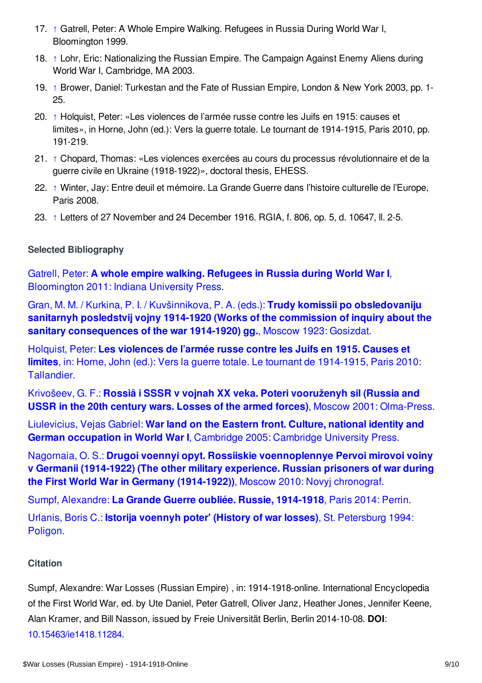- <span id="page-8-2"></span>17. [↑](#page-4-1) Gatrell, Peter: A Whole Empire Walking. Refugees in Russia During World War I, Bloomington 1999.
- <span id="page-8-3"></span>18. [↑](#page-4-2) Lohr, Eric: Nationalizing the Russian Empire. The Campaign Against Enemy Aliens during World War I, Cambridge, MA 2003.
- <span id="page-8-4"></span>19. [↑](#page-4-3) Brower, Daniel: Turkestan and the Fate of Russian Empire, London & New York 2003, pp. 1- 25.
- <span id="page-8-5"></span>20. [↑](#page-4-4) Holquist, Peter: «Les violences de l'armée russe contre les Juifs en 1915: causes et limites», in Horne, John (ed.): Vers la guerre totale. Le tournant de 1914-1915, Paris 2010, pp. 191-219.
- <span id="page-8-6"></span>21. [↑](#page-4-5) Chopard, Thomas: «Les violences exercées au cours du processus révolutionnaire et de la guerre civile en Ukraine (1918-1922)», doctoral thesis, EHESS.
- <span id="page-8-7"></span>22. [↑](#page-5-1) Winter, Jay: Entre deuil et mémoire. La Grande Guerre dans l'histoire culturelle de l'Europe, Paris 2008.
- <span id="page-8-8"></span>23. [↑](#page-6-2) Letters of 27 November and 24 December 1916. RGIA, f. 806, op. 5, d. 10647, ll. 2-5.

#### <span id="page-8-0"></span>**Selected Bibliography**

Gatrell, Peter: **A whole empire walking. Refugees in Russia during World War I**, [Bloomington](https://encyclopedia.1914-1918-online.net/bibliography/AHC3EVXB) 2011: Indiana University Press.

Gran, M. M. / Kurkina, P. I. / Kuvšinnikova, P. A. (eds.): **Trudy komissii po obsledovaniju sanitarnyh posledstvij vojny 1914-1920 (Works of the commission of inquiry about the sanitary [consequences](https://encyclopedia.1914-1918-online.net/bibliography/N4I6GX6R) of the war 1914-1920) gg.**, Moscow 1923: Gosizdat.

Holquist, Peter: **Les violences de l'armée russe contre les Juifs en 1915. Causes et limites**, in: Horne, John (ed.): Vers la guerre totale. Le tournant de [1914-1915,](https://encyclopedia.1914-1918-online.net/bibliography/DMFMEZM5) Paris 2010: Tallandier.

Krivošeev, G. F.: **Rossiâ i SSSR v vojnah XX veka. Poteri [vooruženyh](https://encyclopedia.1914-1918-online.net/bibliography/J8GJYV3D) sil (Russia and USSR in the 20th century wars. Losses of the armed forces)**, Moscow 2001: Olma-Press.

Liulevicius, Vejas Gabriel: **War land on the Eastern front. Culture, national identity and German [occupation](https://encyclopedia.1914-1918-online.net/bibliography/IU44WWQ2) in World War I**, Cambridge 2005: Cambridge University Press.

Nagornaia, О. S.: **Drugoi voennyi opyt. Rossiiskie [voennoplennye](https://encyclopedia.1914-1918-online.net/bibliography/NRJXP7UT) Pervoi mirovoi voiny v Germanii (1914-1922) (The other military experience. Russian prisoners of war during the First World War in Germany (1914-1922))**, Moscow 2010: Novyj chronograf.

Sumpf, [Alexandre:](https://encyclopedia.1914-1918-online.net/bibliography/RNWJ5M9X) **La Grande Guerre oubliée. Russie, 1914-1918**, Paris 2014: Perrin.

Urlanis, Boris C.: **Istorija voennyh poter' (History of war losses)**, St. [Petersburg](https://encyclopedia.1914-1918-online.net/bibliography/K3ARAN5P) 1994: Poligon.

#### <span id="page-8-1"></span>**Citation**

Sumpf, Alexandre: War Losses (Russian Empire) , in: 1914-1918-online. International Encyclopedia of the First World War, ed. by Ute Daniel, Peter Gatrell, Oliver Janz, Heather Jones, Jennifer Keene, Alan Kramer, and Bill Nasson, issued by Freie Universität Berlin, Berlin 2014-10-08. **DOI**: [10.15463/ie1418.11284](http://dx.doi.org/10.15463/ie1418.11284).